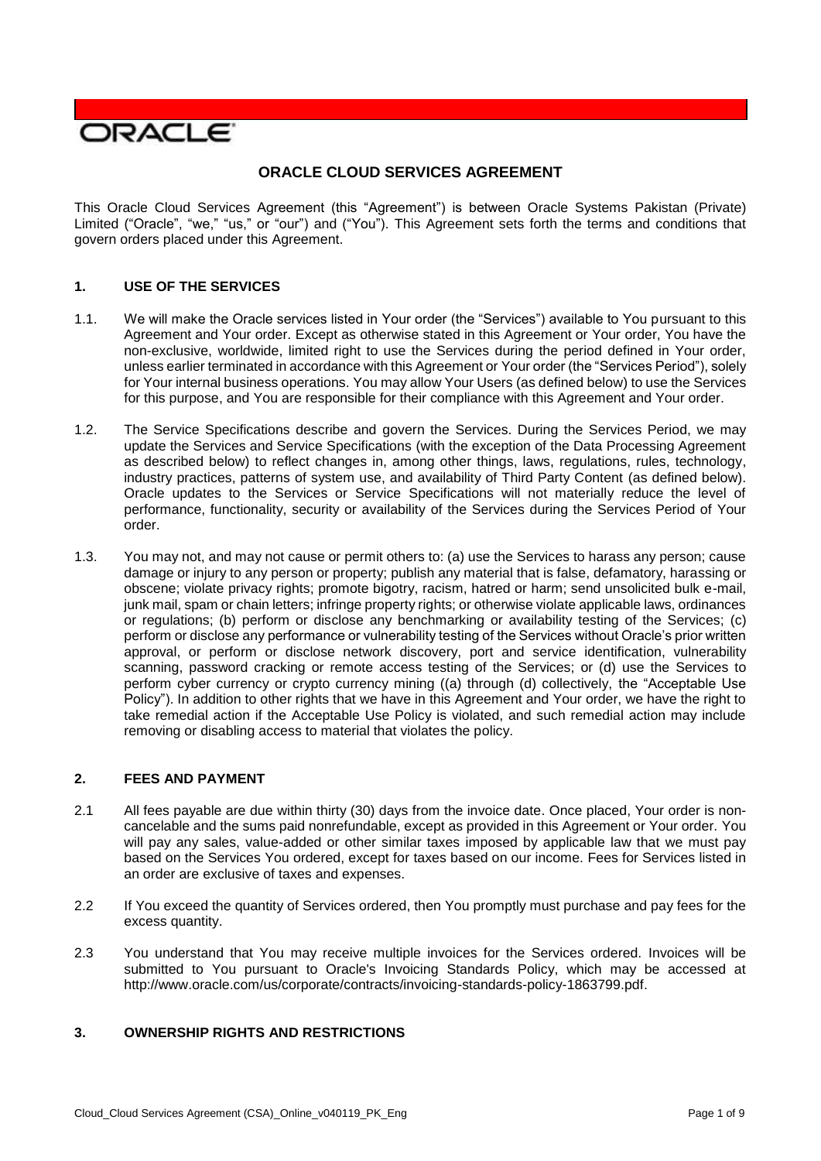

# **ORACLE CLOUD SERVICES AGREEMENT**

 This Oracle Cloud Services Agreement (this "Agreement") is between Oracle Systems Pakistan (Private) Limited ("Oracle", "we," "us," or "our") and ("You"). This Agreement sets forth the terms and conditions that govern orders placed under this Agreement.

### **1. USE OF THE SERVICES**

- 1.1. We will make the Oracle services listed in Your order (the "Services") available to You pursuant to this Agreement and Your order. Except as otherwise stated in this Agreement or Your order, You have the non-exclusive, worldwide, limited right to use the Services during the period defined in Your order, unless earlier terminated in accordance with this Agreement or Your order (the "Services Period"), solely for Your internal business operations. You may allow Your Users (as defined below) to use the Services for this purpose, and You are responsible for their compliance with this Agreement and Your order.
- 1.2. The Service Specifications describe and govern the Services. During the Services Period, we may update the Services and Service Specifications (with the exception of the Data Processing Agreement industry practices, patterns of system use, and availability of Third Party Content (as defined below). Oracle updates to the Services or Service Specifications will not materially reduce the level of performance, functionality, security or availability of the Services during the Services Period of Your as described below) to reflect changes in, among other things, laws, regulations, rules, technology, order.
- 1.3. You may not, and may not cause or permit others to: (a) use the Services to harass any person; cause damage or injury to any person or property; publish any material that is false, defamatory, harassing or obscene; violate privacy rights; promote bigotry, racism, hatred or harm; send unsolicited bulk e-mail, junk mail, spam or chain letters; infringe property rights; or otherwise violate applicable laws, ordinances or regulations; (b) perform or disclose any benchmarking or availability testing of the Services; (c) perform or disclose any performance or vulnerability testing of the Services without Oracle's prior written approval, or perform or disclose network discovery, port and service identification, vulnerability scanning, password cracking or remote access testing of the Services; or (d) use the Services to perform cyber currency or crypto currency mining ((a) through (d) collectively, the "Acceptable Use Policy"). In addition to other rights that we have in this Agreement and Your order, we have the right to take remedial action if the Acceptable Use Policy is violated, and such remedial action may include removing or disabling access to material that violates the policy.

#### **2. FEES AND PAYMENT**

- 2.1 All fees payable are due within thirty (30) days from the invoice date. Once placed, Your order is non- cancelable and the sums paid nonrefundable, except as provided in this Agreement or Your order. You will pay any sales, value-added or other similar taxes imposed by applicable law that we must pay based on the Services You ordered, except for taxes based on our income. Fees for Services listed in an order are exclusive of taxes and expenses.
- 2.2 If You exceed the quantity of Services ordered, then You promptly must purchase and pay fees for the excess quantity.
- 2.3 You understand that You may receive multiple invoices for the Services ordered. Invoices will be submitted to You pursuant to Oracle's Invoicing Standards Policy, which may be accessed at [http://www.oracle.com/us/corporate/contracts/invoicing-standards-policy-1863799.pdf.](http://www.oracle.com/us/corporate/contracts/invoicing-standards-policy-1863799.pdf)

## **3. OWNERSHIP RIGHTS AND RESTRICTIONS**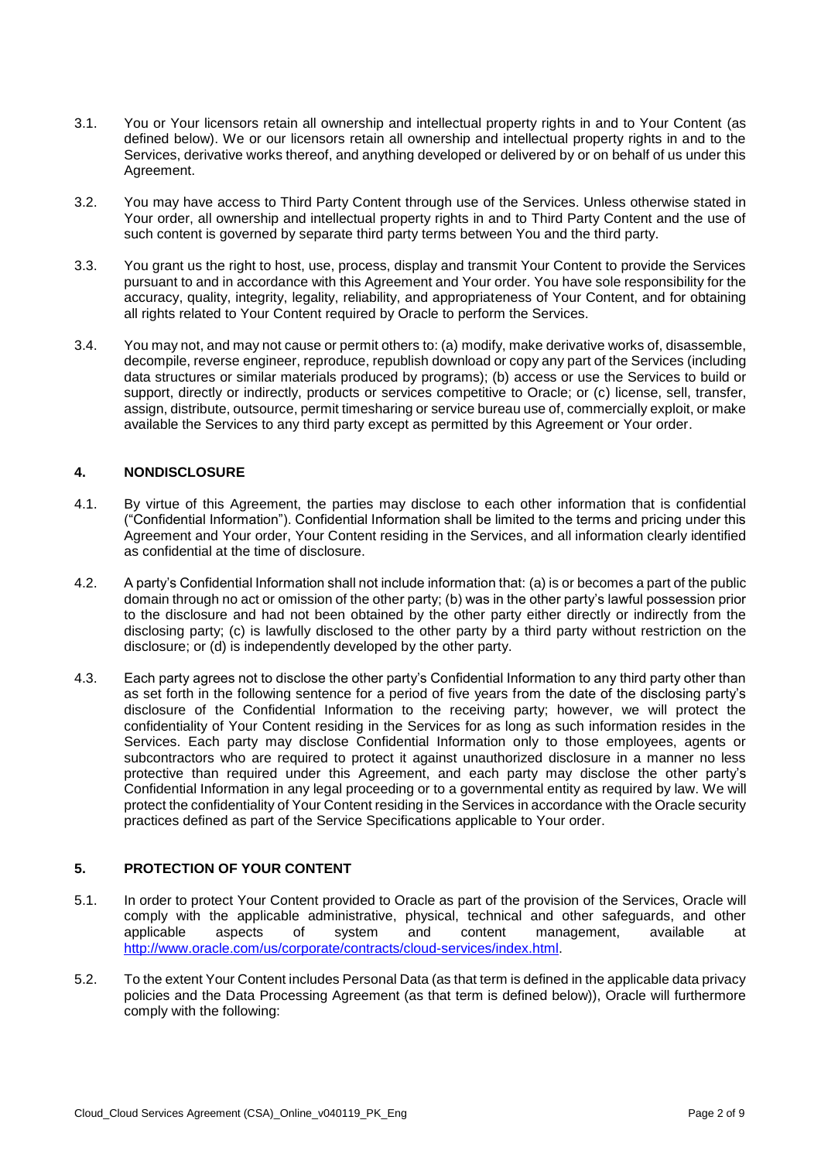- 3.1. You or Your licensors retain all ownership and intellectual property rights in and to Your Content (as defined below). We or our licensors retain all ownership and intellectual property rights in and to the Services, derivative works thereof, and anything developed or delivered by or on behalf of us under this Agreement.
- 3.2. You may have access to Third Party Content through use of the Services. Unless otherwise stated in Your order, all ownership and intellectual property rights in and to Third Party Content and the use of such content is governed by separate third party terms between You and the third party.
- 3.3. You grant us the right to host, use, process, display and transmit Your Content to provide the Services accuracy, quality, integrity, legality, reliability, and appropriateness of Your Content, and for obtaining pursuant to and in accordance with this Agreement and Your order. You have sole responsibility for the all rights related to Your Content required by Oracle to perform the Services.
- 3.4. You may not, and may not cause or permit others to: (a) modify, make derivative works of, disassemble, decompile, reverse engineer, reproduce, republish download or copy any part of the Services (including data structures or similar materials produced by programs); (b) access or use the Services to build or support, directly or indirectly, products or services competitive to Oracle; or (c) license, sell, transfer, available the Services to any third party except as permitted by this Agreement or Your order. assign, distribute, outsource, permit timesharing or service bureau use of, commercially exploit, or make

## **4. NONDISCLOSURE**

- 4.1. By virtue of this Agreement, the parties may disclose to each other information that is confidential Agreement and Your order, Your Content residing in the Services, and all information clearly identified ("Confidential Information"). Confidential Information shall be limited to the terms and pricing under this as confidential at the time of disclosure.
- 4.2. A party's Confidential Information shall not include information that: (a) is or becomes a part of the public domain through no act or omission of the other party; (b) was in the other party's lawful possession prior to the disclosure and had not been obtained by the other party either directly or indirectly from the disclosing party; (c) is lawfully disclosed to the other party by a third party without restriction on the disclosure; or (d) is independently developed by the other party.
- 4.3. Each party agrees not to disclose the other party's Confidential Information to any third party other than as set forth in the following sentence for a period of five years from the date of the disclosing party's disclosure of the Confidential Information to the receiving party; however, we will protect the confidentiality of Your Content residing in the Services for as long as such information resides in the Services. Each party may disclose Confidential Information only to those employees, agents or subcontractors who are required to protect it against unauthorized disclosure in a manner no less protective than required under this Agreement, and each party may disclose the other party's Confidential Information in any legal proceeding or to a governmental entity as required by law. We will protect the confidentiality of Your Content residing in the Services in accordance with the Oracle security practices defined as part of the Service Specifications applicable to Your order.

# **5. PROTECTION OF YOUR CONTENT**

- 5.1. In order to protect Your Content provided to Oracle as part of the provision of the Services, Oracle will comply with the applicable administrative, physical, technical and other safeguards, and other aspects applicable aspects of system and content management, available at [http://www.oracle.com/us/corporate/contracts/cloud-services/index.html.](http://www.oracle.com/us/corporate/contracts/cloud-services/index.html)
- 5.2. To the extent Your Content includes Personal Data (as that term is defined in the applicable data privacy policies and the Data Processing Agreement (as that term is defined below)), Oracle will furthermore comply with the following: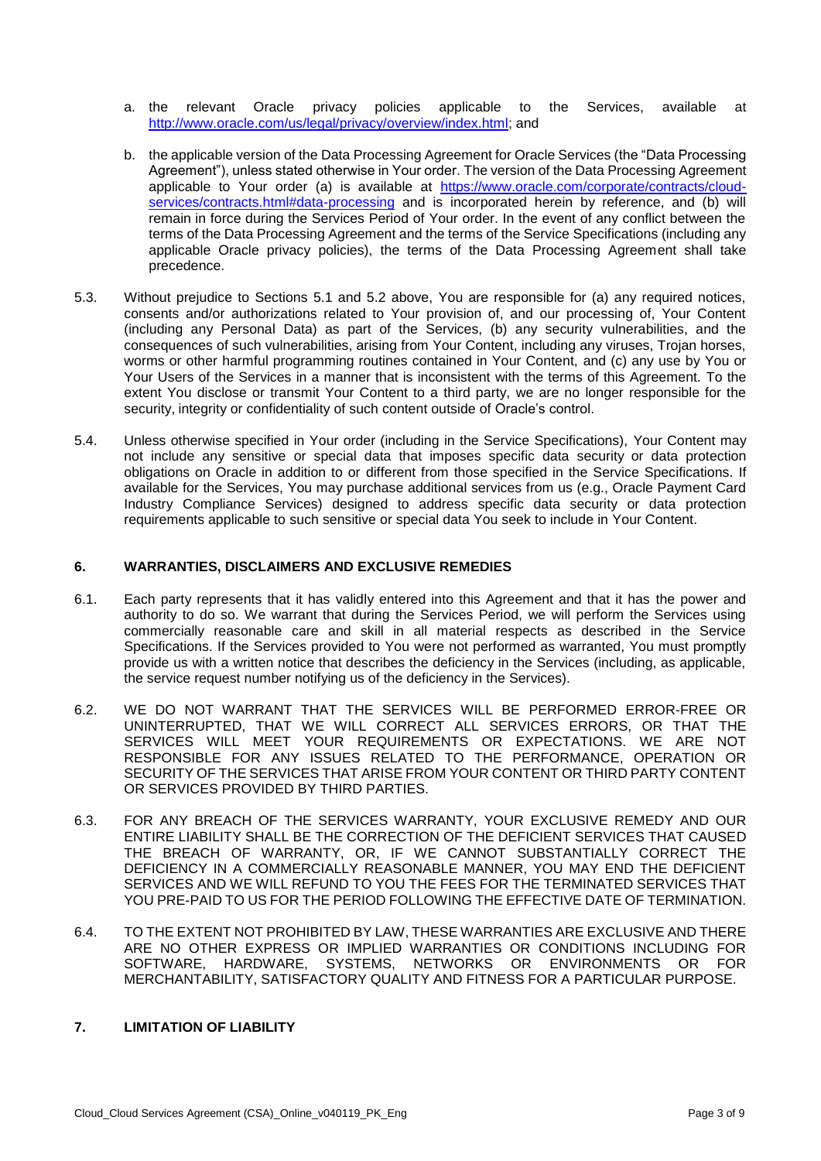- a. the relevant Oracle privacy policies applicable to [http://www.oracle.com/us/legal/privacy/overview/index.html;](http://www.oracle.com/us/legal/privacy/overview/index.html) and Services, available at
- b. the applicable version of the Data Processing Agreement for Oracle Services (the "Data Processing Agreement"), unless stated otherwise in Your order. The version of the Data Processing Agreement applicable to Your order (a) is available at [https://www.oracle.com/corporate/contracts/cloud](https://www.oracle.com/corporate/contracts/cloud-services/contracts.html#data-processing)[services/contracts.html#data-processing](https://www.oracle.com/corporate/contracts/cloud-services/contracts.html#data-processing) and is incorporated herein by reference, and (b) will remain in force during the Services Period of Your order. In the event of any conflict between the terms of the Data Processing Agreement and the terms of the Service Specifications (including any applicable Oracle privacy policies), the terms of the Data Processing Agreement shall take precedence.
- 5.3. Without prejudice to Sections 5.1 and 5.2 above, You are responsible for (a) any required notices, consents and/or authorizations related to Your provision of, and our processing of, Your Content (including any Personal Data) as part of the Services, (b) any security vulnerabilities, and the consequences of such vulnerabilities, arising from Your Content, including any viruses, Trojan horses, worms or other harmful programming routines contained in Your Content, and (c) any use by You or Your Users of the Services in a manner that is inconsistent with the terms of this Agreement. To the extent You disclose or transmit Your Content to a third party, we are no longer responsible for the security, integrity or confidentiality of such content outside of Oracle's control.
- 5.4. Unless otherwise specified in Your order (including in the Service Specifications), Your Content may not include any sensitive or special data that imposes specific data security or data protection obligations on Oracle in addition to or different from those specified in the Service Specifications. If available for the Services, You may purchase additional services from us (e.g., Oracle Payment Card Industry Compliance Services) designed to address specific data security or data protection requirements applicable to such sensitive or special data You seek to include in Your Content.

### **6. WARRANTIES, DISCLAIMERS AND EXCLUSIVE REMEDIES**

- 6.1. Each party represents that it has validly entered into this Agreement and that it has the power and authority to do so. We warrant that during the Services Period, we will perform the Services using commercially reasonable care and skill in all material respects as described in the Service Specifications. If the Services provided to You were not performed as warranted, You must promptly provide us with a written notice that describes the deficiency in the Services (including, as applicable, the service request number notifying us of the deficiency in the Services).
- 6.2. WE DO NOT WARRANT THAT THE SERVICES WILL BE PERFORMED ERROR-FREE OR UNINTERRUPTED, THAT WE WILL CORRECT ALL SERVICES ERRORS, OR THAT THE SERVICES WILL MEET YOUR REQUIREMENTS OR EXPECTATIONS. WE ARE NOT RESPONSIBLE FOR ANY ISSUES RELATED TO THE PERFORMANCE, OPERATION OR SECURITY OF THE SERVICES THAT ARISE FROM YOUR CONTENT OR THIRD PARTY CONTENT OR SERVICES PROVIDED BY THIRD PARTIES.
- 6.3. FOR ANY BREACH OF THE SERVICES WARRANTY, YOUR EXCLUSIVE REMEDY AND OUR ENTIRE LIABILITY SHALL BE THE CORRECTION OF THE DEFICIENT SERVICES THAT CAUSED THE BREACH OF WARRANTY, OR, IF WE CANNOT SUBSTANTIALLY CORRECT THE DEFICIENCY IN A COMMERCIALLY REASONABLE MANNER, YOU MAY END THE DEFICIENT SERVICES AND WE WILL REFUND TO YOU THE FEES FOR THE TERMINATED SERVICES THAT YOU PRE-PAID TO US FOR THE PERIOD FOLLOWING THE EFFECTIVE DATE OF TERMINATION.
- 6.4. TO THE EXTENT NOT PROHIBITED BY LAW, THESE WARRANTIES ARE EXCLUSIVE AND THERE ARE NO OTHER EXPRESS OR IMPLIED WARRANTIES OR CONDITIONS INCLUDING FOR SOFTWARE, HARDWARE, SYSTEMS, NETWORKS OR ENVIRONMENTS OR FOR MERCHANTABILITY, SATISFACTORY QUALITY AND FITNESS FOR A PARTICULAR PURPOSE.

# **7. LIMITATION OF LIABILITY**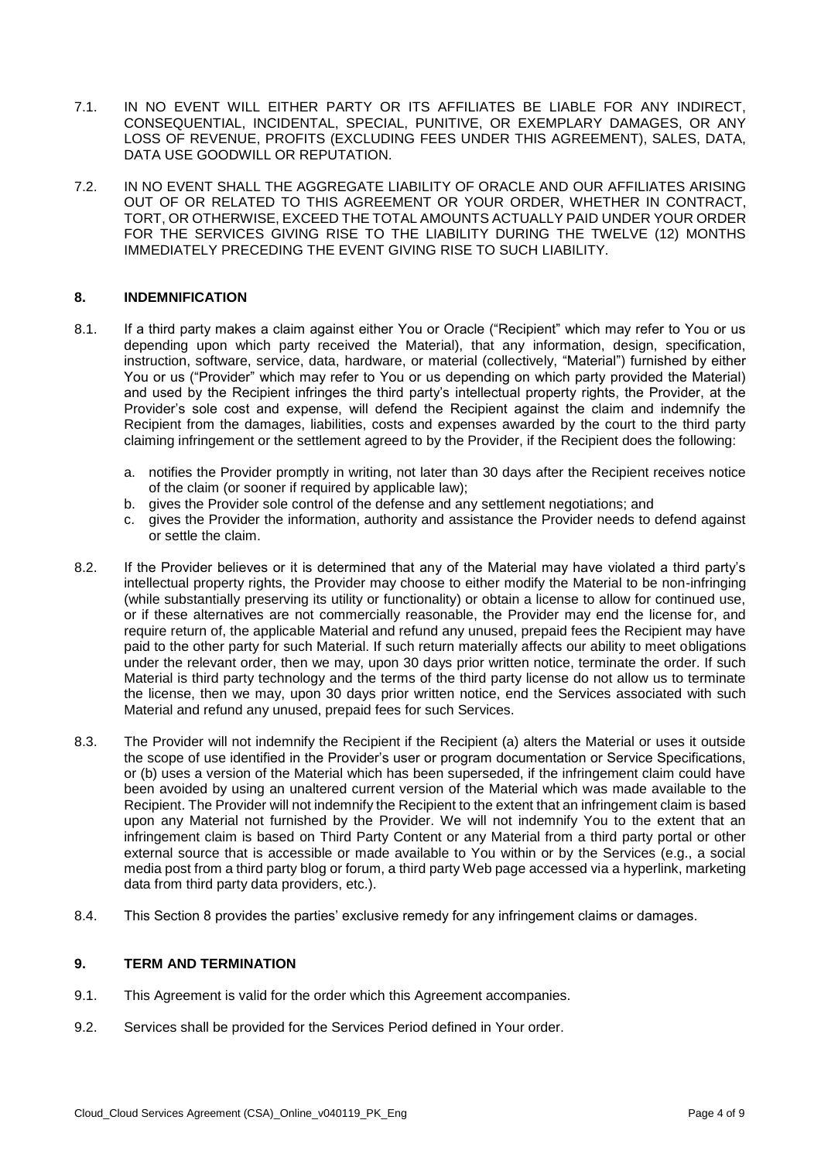- 7.1. IN NO EVENT WILL EITHER PARTY OR ITS AFFILIATES BE LIABLE FOR ANY INDIRECT, LOSS OF REVENUE, PROFITS (EXCLUDING FEES UNDER THIS AGREEMENT), SALES, DATA, CONSEQUENTIAL, INCIDENTAL, SPECIAL, PUNITIVE, OR EXEMPLARY DAMAGES, OR ANY DATA USE GOODWILL OR REPUTATION.
- 7.2. IN NO EVENT SHALL THE AGGREGATE LIABILITY OF ORACLE AND OUR AFFILIATES ARISING OUT OF OR RELATED TO THIS AGREEMENT OR YOUR ORDER, WHETHER IN CONTRACT, FOR THE SERVICES GIVING RISE TO THE LIABILITY DURING THE TWELVE (12) MONTHS TORT, OR OTHERWISE, EXCEED THE TOTAL AMOUNTS ACTUALLY PAID UNDER YOUR ORDER IMMEDIATELY PRECEDING THE EVENT GIVING RISE TO SUCH LIABILITY.

### **8. INDEMNIFICATION**

- 8.1. If a third party makes a claim against either You or Oracle ("Recipient" which may refer to You or us depending upon which party received the Material), that any information, design, specification, instruction, software, service, data, hardware, or material (collectively, "Material") furnished by either You or us ("Provider" which may refer to You or us depending on which party provided the Material) and used by the Recipient infringes the third party's intellectual property rights, the Provider, at the Provider's sole cost and expense, will defend the Recipient against the claim and indemnify the Recipient from the damages, liabilities, costs and expenses awarded by the court to the third party claiming infringement or the settlement agreed to by the Provider, if the Recipient does the following:
	- a. notifies the Provider promptly in writing, not later than 30 days after the Recipient receives notice of the claim (or sooner if required by applicable law);
	- b. gives the Provider sole control of the defense and any settlement negotiations; and
	- c. gives the Provider the information, authority and assistance the Provider needs to defend against or settle the claim.
- 8.2. If the Provider believes or it is determined that any of the Material may have violated a third party's intellectual property rights, the Provider may choose to either modify the Material to be non-infringing (while substantially preserving its utility or functionality) or obtain a license to allow for continued use, or if these alternatives are not commercially reasonable, the Provider may end the license for, and require return of, the applicable Material and refund any unused, prepaid fees the Recipient may have paid to the other party for such Material. If such return materially affects our ability to meet obligations under the relevant order, then we may, upon 30 days prior written notice, terminate the order. If such Material is third party technology and the terms of the third party license do not allow us to terminate the license, then we may, upon 30 days prior written notice, end the Services associated with such Material and refund any unused, prepaid fees for such Services.
- 8.3. The Provider will not indemnify the Recipient if the Recipient (a) alters the Material or uses it outside the scope of use identified in the Provider's user or program documentation or Service Specifications, or (b) uses a version of the Material which has been superseded, if the infringement claim could have been avoided by using an unaltered current version of the Material which was made available to the Recipient. The Provider will not indemnify the Recipient to the extent that an infringement claim is based upon any Material not furnished by the Provider. We will not indemnify You to the extent that an infringement claim is based on Third Party Content or any Material from a third party portal or other external source that is accessible or made available to You within or by the Services (e.g., a social media post from a third party blog or forum, a third party Web page accessed via a hyperlink, marketing data from third party data providers, etc.).
- 8.4. This Section 8 provides the parties' exclusive remedy for any infringement claims or damages.

#### **9. TERM AND TERMINATION**

- 9.1. This Agreement is valid for the order which this Agreement accompanies.
- 9.2. Services shall be provided for the Services Period defined in Your order.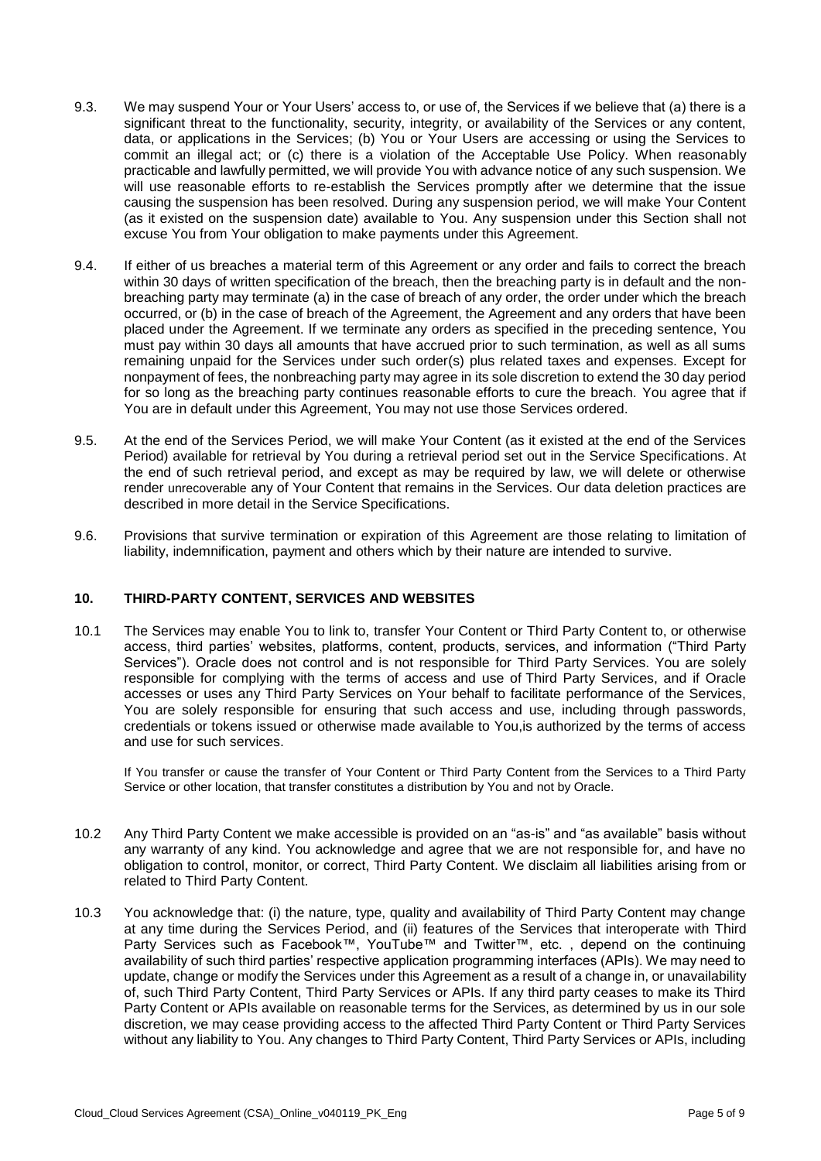- 9.3. We may suspend Your or Your Users' access to, or use of, the Services if we believe that (a) there is a significant threat to the functionality, security, integrity, or availability of the Services or any content, data, or applications in the Services; (b) You or Your Users are accessing or using the Services to commit an illegal act; or (c) there is a violation of the Acceptable Use Policy. When reasonably practicable and lawfully permitted, we will provide You with advance notice of any such suspension. We will use reasonable efforts to re-establish the Services promptly after we determine that the issue causing the suspension has been resolved. During any suspension period, we will make Your Content (as it existed on the suspension date) available to You. Any suspension under this Section shall not excuse You from Your obligation to make payments under this Agreement.
- 9.4. If either of us breaches a material term of this Agreement or any order and fails to correct the breach breaching party may terminate (a) in the case of breach of any order, the order under which the breach occurred, or (b) in the case of breach of the Agreement, the Agreement and any orders that have been placed under the Agreement. If we terminate any orders as specified in the preceding sentence, You must pay within 30 days all amounts that have accrued prior to such termination, as well as all sums remaining unpaid for the Services under such order(s) plus related taxes and expenses. Except for nonpayment of fees, the nonbreaching party may agree in its sole discretion to extend the 30 day period for so long as the breaching party continues reasonable efforts to cure the breach. You agree that if within 30 days of written specification of the breach, then the breaching party is in default and the non-You are in default under this Agreement, You may not use those Services ordered.
- 9.5. At the end of the Services Period, we will make Your Content (as it existed at the end of the Services Period) available for retrieval by You during a retrieval period set out in the Service Specifications. At the end of such retrieval period, and except as may be required by law, we will delete or otherwise render unrecoverable any of Your Content that remains in the Services. Our data deletion practices are described in more detail in the Service Specifications.
- 9.6. Provisions that survive termination or expiration of this Agreement are those relating to limitation of liability, indemnification, payment and others which by their nature are intended to survive.

### **10. THIRD-PARTY CONTENT, SERVICES AND WEBSITES**

 10.1 The Services may enable You to link to, transfer Your Content or Third Party Content to, or otherwise Services"). Oracle does not control and is not responsible for Third Party Services. You are solely responsible for complying with the terms of access and use of Third Party Services, and if Oracle accesses or uses any Third Party Services on Your behalf to facilitate performance of the Services, You are solely responsible for ensuring that such access and use, including through passwords, credentials or tokens issued or otherwise made available to You,is authorized by the terms of access access, third parties' websites, platforms, content, products, services, and information ("Third Party and use for such services.

 If You transfer or cause the transfer of Your Content or Third Party Content from the Services to a Third Party Service or other location, that transfer constitutes a distribution by You and not by Oracle.

- 10.2 Any Third Party Content we make accessible is provided on an "as-is" and "as available" basis without any warranty of any kind. You acknowledge and agree that we are not responsible for, and have no obligation to control, monitor, or correct, Third Party Content. We disclaim all liabilities arising from or related to Third Party Content.
- 10.3 You acknowledge that: (i) the nature, type, quality and availability of Third Party Content may change at any time during the Services Period, and (ii) features of the Services that interoperate with Third availability of such third parties' respective application programming interfaces (APIs). We may need to update, change or modify the Services under this Agreement as a result of a change in, or unavailability of, such Third Party Content, Third Party Services or APIs. If any third party ceases to make its Third Party Content or APIs available on reasonable terms for the Services, as determined by us in our sole discretion, we may cease providing access to the affected Third Party Content or Third Party Services without any liability to You. Any changes to Third Party Content, Third Party Services or APIs, including Party Services such as Facebook™, YouTube™ and Twitter™, etc. , depend on the continuing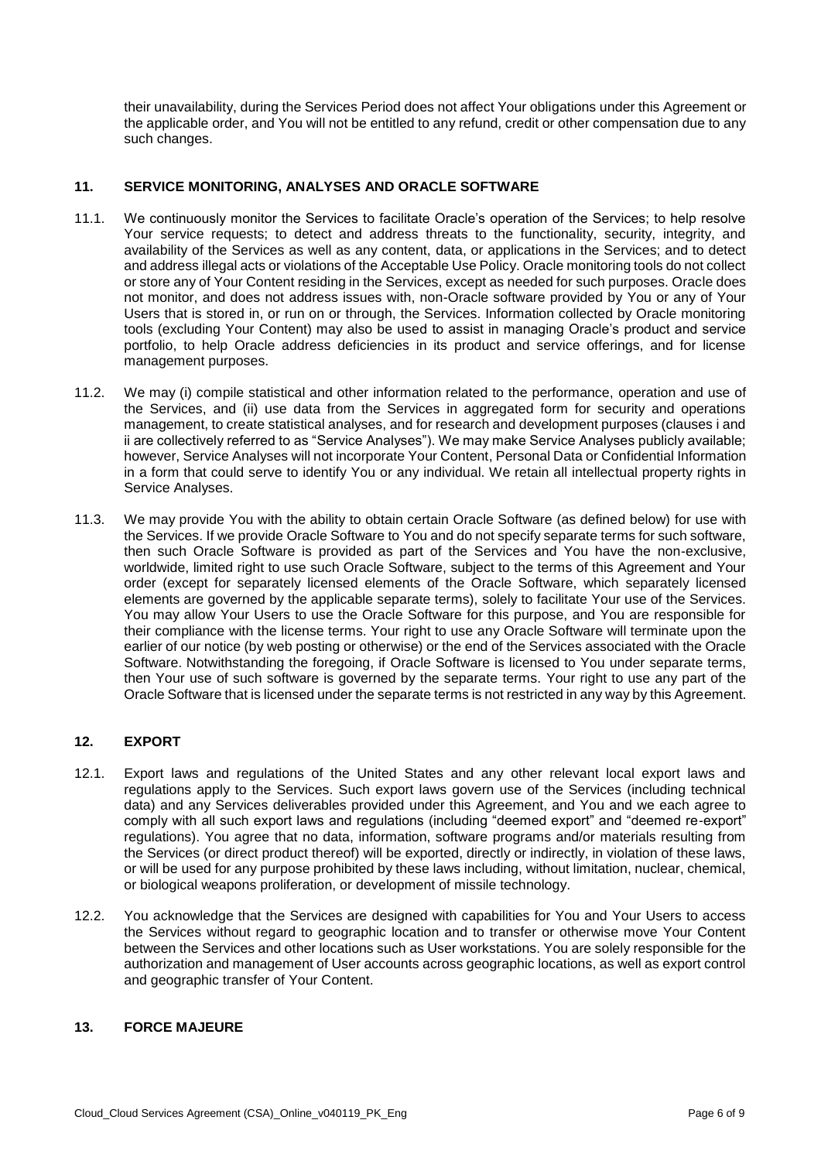their unavailability, during the Services Period does not affect Your obligations under this Agreement or the applicable order, and You will not be entitled to any refund, credit or other compensation due to any such changes.

## **11. SERVICE MONITORING, ANALYSES AND ORACLE SOFTWARE**

- 11.1. We continuously monitor the Services to facilitate Oracle's operation of the Services; to help resolve Your service requests; to detect and address threats to the functionality, security, integrity, and availability of the Services as well as any content, data, or applications in the Services; and to detect and address illegal acts or violations of the Acceptable Use Policy. Oracle monitoring tools do not collect or store any of Your Content residing in the Services, except as needed for such purposes. Oracle does not monitor, and does not address issues with, non-Oracle software provided by You or any of Your Users that is stored in, or run on or through, the Services. Information collected by Oracle monitoring tools (excluding Your Content) may also be used to assist in managing Oracle's product and service portfolio, to help Oracle address deficiencies in its product and service offerings, and for license management purposes.
- 11.2. We may (i) compile statistical and other information related to the performance, operation and use of the Services, and (ii) use data from the Services in aggregated form for security and operations management, to create statistical analyses, and for research and development purposes (clauses i and ii are collectively referred to as "Service Analyses"). We may make Service Analyses publicly available; however, Service Analyses will not incorporate Your Content, Personal Data or Confidential Information in a form that could serve to identify You or any individual. We retain all intellectual property rights in Service Analyses.
- 11.3. We may provide You with the ability to obtain certain Oracle Software (as defined below) for use with the Services. If we provide Oracle Software to You and do not specify separate terms for such software, then such Oracle Software is provided as part of the Services and You have the non-exclusive, worldwide, limited right to use such Oracle Software, subject to the terms of this Agreement and Your order (except for separately licensed elements of the Oracle Software, which separately licensed elements are governed by the applicable separate terms), solely to facilitate Your use of the Services. You may allow Your Users to use the Oracle Software for this purpose, and You are responsible for earlier of our notice (by web posting or otherwise) or the end of the Services associated with the Oracle Software. Notwithstanding the foregoing, if Oracle Software is licensed to You under separate terms, then Your use of such software is governed by the separate terms. Your right to use any part of the Oracle Software that is licensed under the separate terms is not restricted in any way by this Agreement. their compliance with the license terms. Your right to use any Oracle Software will terminate upon the

## **12. EXPORT**

- 12.1. Export laws and regulations of the United States and any other relevant local export laws and regulations apply to the Services. Such export laws govern use of the Services (including technical data) and any Services deliverables provided under this Agreement, and You and we each agree to comply with all such export laws and regulations (including "deemed export" and "deemed re-export" regulations). You agree that no data, information, software programs and/or materials resulting from or will be used for any purpose prohibited by these laws including, without limitation, nuclear, chemical, the Services (or direct product thereof) will be exported, directly or indirectly, in violation of these laws, or biological weapons proliferation, or development of missile technology.
- 12.2. You acknowledge that the Services are designed with capabilities for You and Your Users to access the Services without regard to geographic location and to transfer or otherwise move Your Content between the Services and other locations such as User workstations. You are solely responsible for the authorization and management of User accounts across geographic locations, as well as export control and geographic transfer of Your Content.

## **13. FORCE MAJEURE**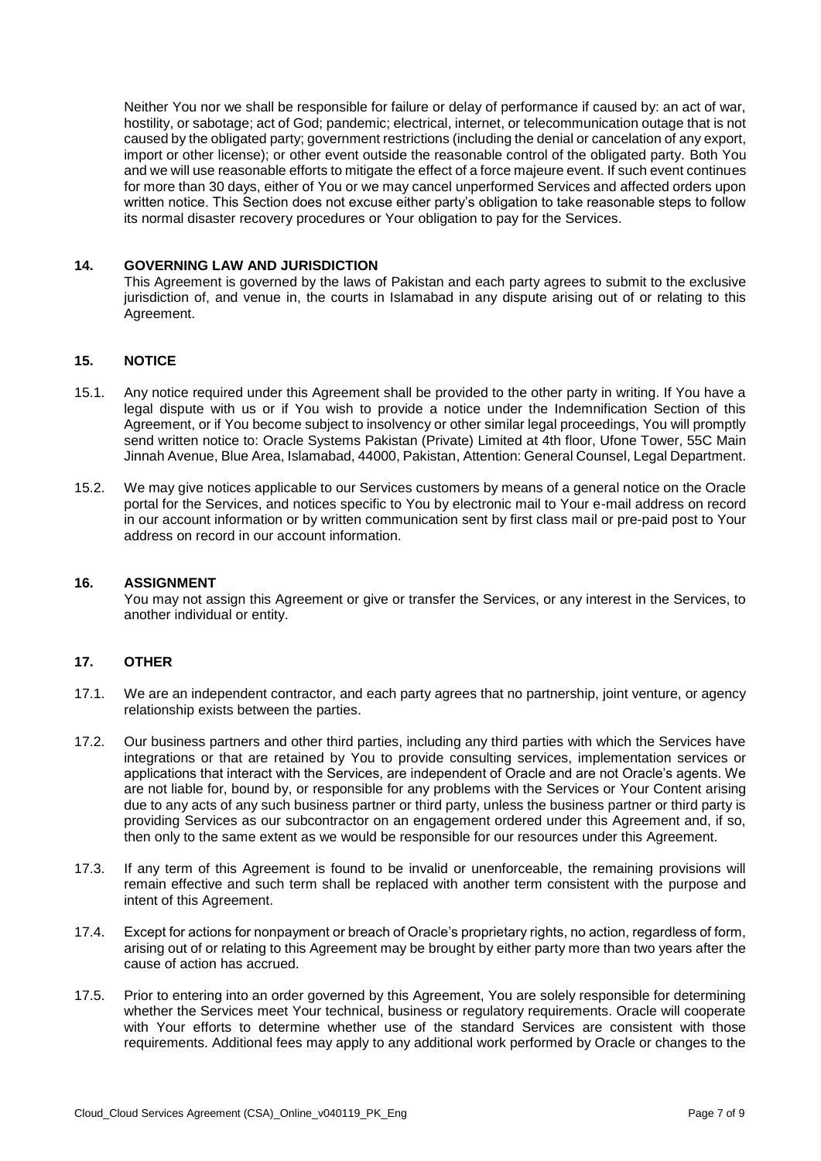Neither You nor we shall be responsible for failure or delay of performance if caused by: an act of war, hostility, or sabotage; act of God; pandemic; electrical, internet, or telecommunication outage that is not caused by the obligated party; government restrictions (including the denial or cancelation of any export, import or other license); or other event outside the reasonable control of the obligated party. Both You and we will use reasonable efforts to mitigate the effect of a force majeure event. If such event continues for more than 30 days, either of You or we may cancel unperformed Services and affected orders upon written notice. This Section does not excuse either party's obligation to take reasonable steps to follow its normal disaster recovery procedures or Your obligation to pay for the Services.

### **14. GOVERNING LAW AND JURISDICTION**

 This Agreement is governed by the laws of Pakistan and each party agrees to submit to the exclusive jurisdiction of, and venue in, the courts in Islamabad in any dispute arising out of or relating to this Agreement.

## **15. NOTICE**

- 15.1. Any notice required under this Agreement shall be provided to the other party in writing. If You have a legal dispute with us or if You wish to provide a notice under the Indemnification Section of this Agreement, or if You become subject to insolvency or other similar legal proceedings, You will promptly send written notice to: Oracle Systems Pakistan (Private) Limited at 4th floor, Ufone Tower, 55C Main Jinnah Avenue, Blue Area, Islamabad, 44000, Pakistan, Attention: General Counsel, Legal Department.
- 15.2. We may give notices applicable to our Services customers by means of a general notice on the Oracle portal for the Services, and notices specific to You by electronic mail to Your e-mail address on record in our account information or by written communication sent by first class mail or pre-paid post to Your address on record in our account information.

#### **16. ASSIGNMENT**

 You may not assign this Agreement or give or transfer the Services, or any interest in the Services, to another individual or entity.

#### **17. OTHER**

- 17.1. We are an independent contractor, and each party agrees that no partnership, joint venture, or agency relationship exists between the parties.
- 17.2. Our business partners and other third parties, including any third parties with which the Services have integrations or that are retained by You to provide consulting services, implementation services or applications that interact with the Services, are independent of Oracle and are not Oracle's agents. We are not liable for, bound by, or responsible for any problems with the Services or Your Content arising due to any acts of any such business partner or third party, unless the business partner or third party is providing Services as our subcontractor on an engagement ordered under this Agreement and, if so, then only to the same extent as we would be responsible for our resources under this Agreement.
- 17.3. If any term of this Agreement is found to be invalid or unenforceable, the remaining provisions will remain effective and such term shall be replaced with another term consistent with the purpose and intent of this Agreement.
- 17.4. Except for actions for nonpayment or breach of Oracle's proprietary rights, no action, regardless of form, arising out of or relating to this Agreement may be brought by either party more than two years after the cause of action has accrued.
- 17.5. Prior to entering into an order governed by this Agreement, You are solely responsible for determining whether the Services meet Your technical, business or regulatory requirements. Oracle will cooperate with Your efforts to determine whether use of the standard Services are consistent with those requirements. Additional fees may apply to any additional work performed by Oracle or changes to the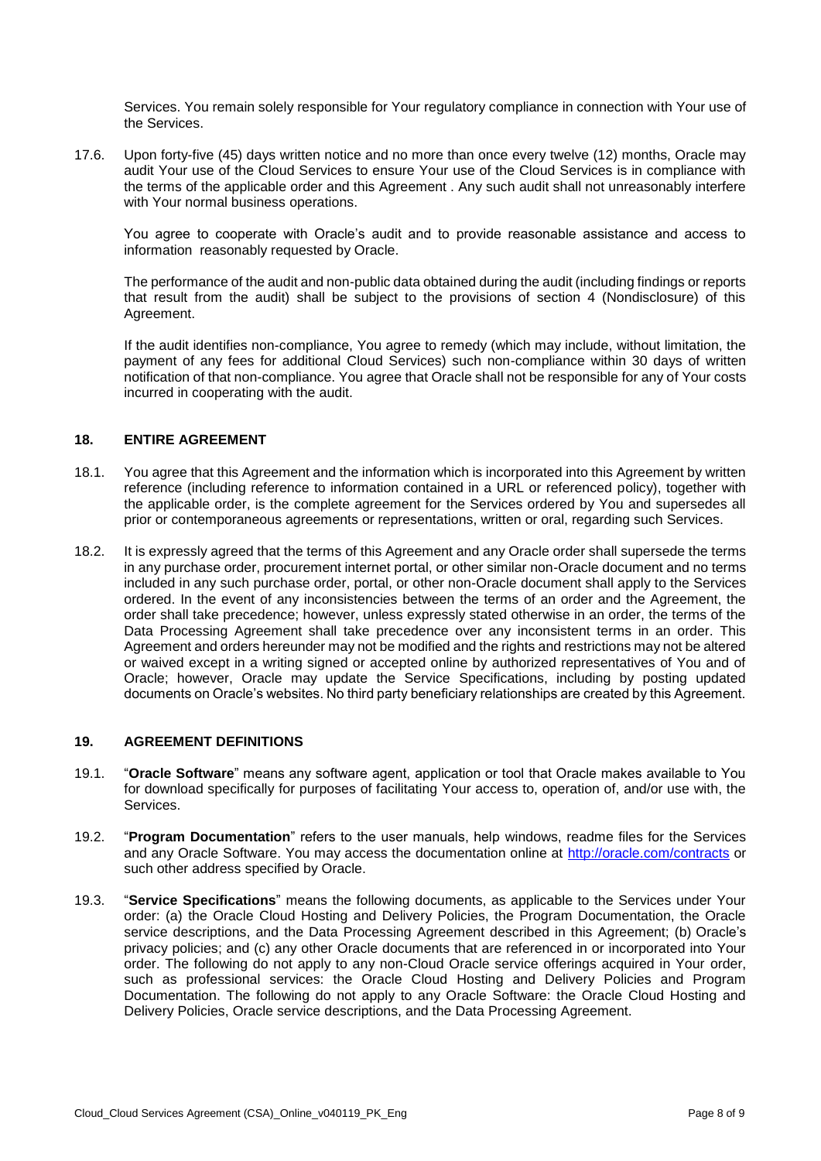Services. You remain solely responsible for Your regulatory compliance in connection with Your use of the Services.

 17.6. Upon forty-five (45) days written notice and no more than once every twelve (12) months, Oracle may audit Your use of the Cloud Services to ensure Your use of the Cloud Services is in compliance with the terms of the applicable order and this Agreement . Any such audit shall not unreasonably interfere with Your normal business operations.

You agree to cooperate with Oracle's audit and to provide reasonable assistance and access to information reasonably requested by Oracle.

 The performance of the audit and non-public data obtained during the audit (including findings or reports that result from the audit) shall be subject to the provisions of section 4 (Nondisclosure) of this Agreement.

 If the audit identifies non-compliance, You agree to remedy (which may include, without limitation, the payment of any fees for additional Cloud Services) such non-compliance within 30 days of written notification of that non-compliance. You agree that Oracle shall not be responsible for any of Your costs incurred in cooperating with the audit.

## **18. ENTIRE AGREEMENT**

- 18.1. You agree that this Agreement and the information which is incorporated into this Agreement by written the applicable order, is the complete agreement for the Services ordered by You and supersedes all reference (including reference to information contained in a URL or referenced policy), together with prior or contemporaneous agreements or representations, written or oral, regarding such Services.
- 18.2. It is expressly agreed that the terms of this Agreement and any Oracle order shall supersede the terms in any purchase order, procurement internet portal, or other similar non-Oracle document and no terms included in any such purchase order, portal, or other non-Oracle document shall apply to the Services ordered. In the event of any inconsistencies between the terms of an order and the Agreement, the order shall take precedence; however, unless expressly stated otherwise in an order, the terms of the Data Processing Agreement shall take precedence over any inconsistent terms in an order. This Agreement and orders hereunder may not be modified and the rights and restrictions may not be altered or waived except in a writing signed or accepted online by authorized representatives of You and of Oracle; however, Oracle may update the Service Specifications, including by posting updated documents on Oracle's websites. No third party beneficiary relationships are created by this Agreement.

## **19. AGREEMENT DEFINITIONS**

- 19.1. "**Oracle Software**" means any software agent, application or tool that Oracle makes available to You for download specifically for purposes of facilitating Your access to, operation of, and/or use with, the Services.
- 19.2. "**Program Documentation**" refers to the user manuals, help windows, readme files for the Services and any Oracle Software. You may access the documentation online at<http://oracle.com/contracts>or such other address specified by Oracle.
- 19.3. "**Service Specifications**" means the following documents, as applicable to the Services under Your order: (a) the Oracle Cloud Hosting and Delivery Policies, the Program Documentation, the Oracle privacy policies; and (c) any other Oracle documents that are referenced in or incorporated into Your order. The following do not apply to any non-Cloud Oracle service offerings acquired in Your order, such as professional services: the Oracle Cloud Hosting and Delivery Policies and Program Documentation. The following do not apply to any Oracle Software: the Oracle Cloud Hosting and Delivery Policies, Oracle service descriptions, and the Data Processing Agreement. service descriptions, and the Data Processing Agreement described in this Agreement; (b) Oracle's